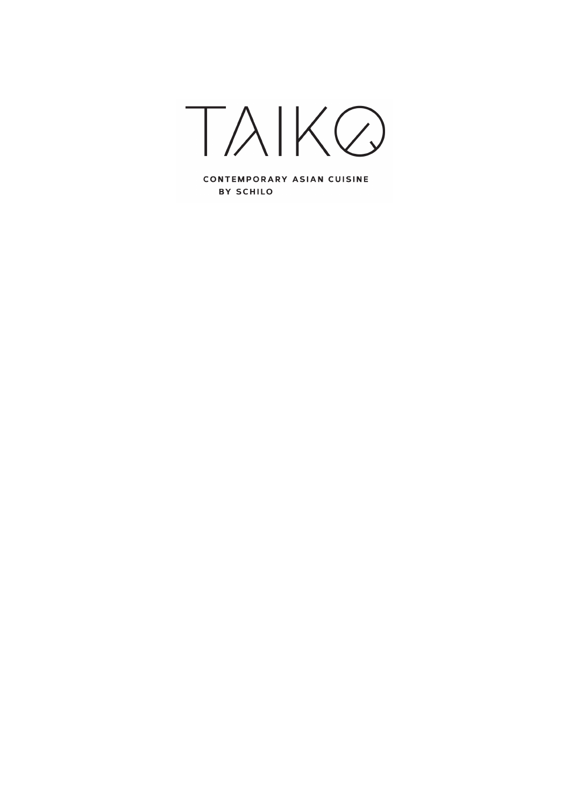

CONTEMPORARY ASIAN CUISINE BY SCHILO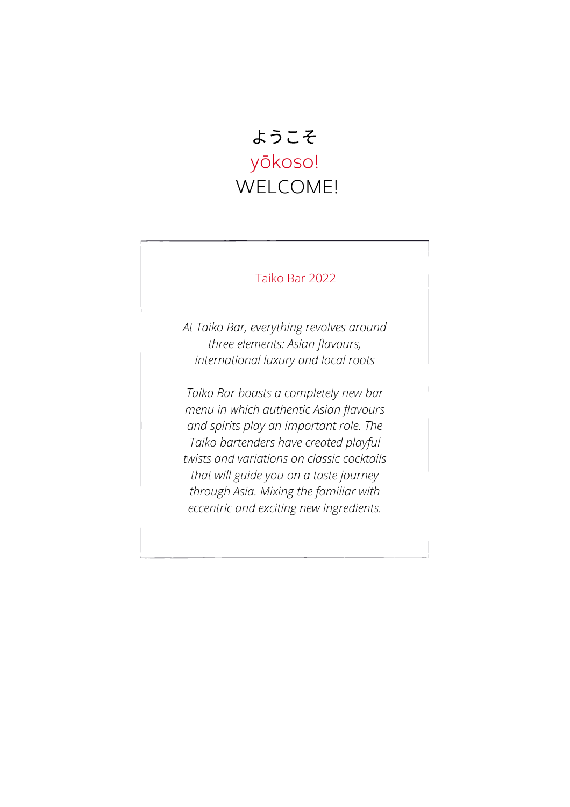## ようこそ yōkoso! WELCOME!

## Taiko Bar 2022

*At Taiko Bar, everything revolves around three elements: Asian flavours, international luxury and local roots*

*Taiko Bar boasts a completely new bar menu in which authentic Asian flavours and spirits play an important role. The Taiko bartenders have created playful twists and variations on classic cocktails that will guide you on a taste journey through Asia. Mixing the familiar with eccentric and exciting new ingredients.*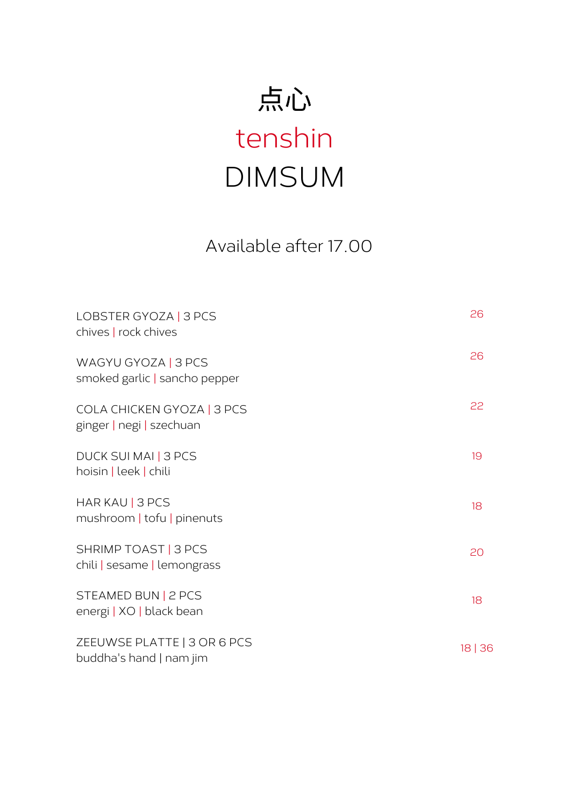# 点心 tenshin DIMSUM

Available after 17.00

| LOBSTER GYOZA   3 PCS<br>chives   rock chives          | 26    |
|--------------------------------------------------------|-------|
| WAGYU GYOZA   3 PCS<br>smoked garlic   sancho pepper   | 26    |
| COLA CHICKEN GYOZA   3 PCS<br>ginger   negi   szechuan | 22    |
| DUCK SUI MAI   3 PCS<br>hoisin   leek   chili          | 19    |
| HAR KAU   3 PCS<br>mushroom   tofu   pinenuts          | 18    |
| SHRIMP TOAST   3 PCS<br>chili   sesame   lemongrass    | 20    |
| STEAMED BUN   2 PCS<br>energi   XO   black bean        | 18    |
| ZEEUWSE PLATTE   3 OR 6 PCS<br>buddha's hand   nam jim | 18 36 |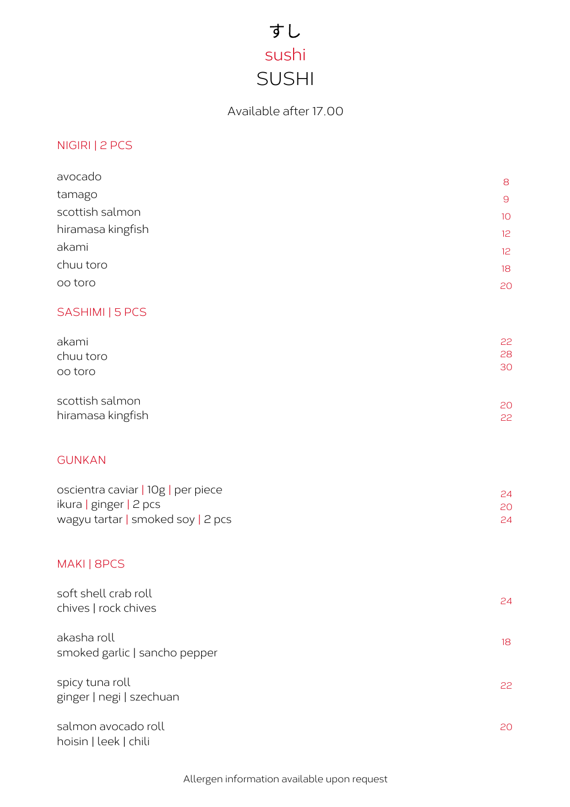## すし sushi SUSHI

## Available after 17.00

## NIGIRI | 2 PCS

| avocado                            | 8        |
|------------------------------------|----------|
| tamago                             | 9        |
| scottish salmon                    | 10       |
| hiramasa kingfish                  | 12       |
| akami                              | 12       |
| chuu toro                          | 18       |
| oo toro                            | 20       |
| SASHIMI   5 PCS                    |          |
| akami                              | 22       |
| chuu toro                          | 28<br>30 |
| oo toro                            |          |
| scottish salmon                    | 20       |
| hiramasa kingfish                  | 22       |
| <b>GUNKAN</b>                      |          |
| oscientra caviar   10g   per piece |          |
| ikura   ginger   2 pcs             | 24<br>20 |
| wagyu tartar   smoked soy   2 pcs  | 24       |
| MAKI   8PCS                        |          |
| soft shell crab roll               | 24       |
| chives   rock chives               |          |
| akasha roll                        | 18       |
| smoked garlic   sancho pepper      |          |
| spicy tuna roll                    | 22       |
| ginger   negi   szechuan           |          |
| salmon avocado roll                | 20       |
| hoisin   leek   chili              |          |

Allergen information available upon request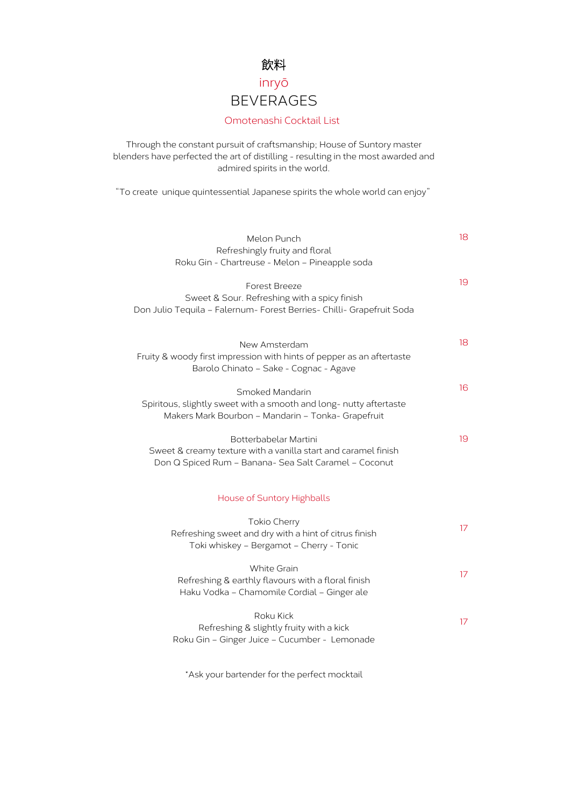## 飲料 inryō BEVERAGES

### Omotenashi Cocktail List

Through the constant pursuit of craftsmanship; House of Suntory master blenders have perfected the art of distilling - resulting in the most awarded and admired spirits in the world.

"To create unique quintessential Japanese spirits the whole world can enjoy"

| Melon Punch                                                                                                              | 18 |
|--------------------------------------------------------------------------------------------------------------------------|----|
| Refreshingly fruity and floral<br>Roku Gin - Chartreuse - Melon - Pineapple soda                                         |    |
|                                                                                                                          |    |
| <b>Forest Breeze</b>                                                                                                     | 19 |
| Sweet & Sour. Refreshing with a spicy finish                                                                             |    |
| Don Julio Tequila - Falernum- Forest Berries- Chilli- Grapefruit Soda                                                    |    |
|                                                                                                                          |    |
| New Amsterdam                                                                                                            | 18 |
| Fruity & woody first impression with hints of pepper as an aftertaste                                                    |    |
| Barolo Chinato - Sake - Cognac - Agave                                                                                   |    |
|                                                                                                                          | 16 |
| Smoked Mandarin                                                                                                          |    |
| Spiritous, slightly sweet with a smooth and long- nutty aftertaste<br>Makers Mark Bourbon - Mandarin - Tonka- Grapefruit |    |
|                                                                                                                          |    |
| Botterbabelar Martini                                                                                                    | 19 |
| Sweet & creamy texture with a vanilla start and caramel finish                                                           |    |
| Don Q Spiced Rum - Banana- Sea Salt Caramel - Coconut                                                                    |    |
|                                                                                                                          |    |
| House of Suntory Highballs                                                                                               |    |
|                                                                                                                          |    |
| Tokio Cherry                                                                                                             | 17 |
| Refreshing sweet and dry with a hint of citrus finish                                                                    |    |
| Toki whiskey - Bergamot - Cherry - Tonic                                                                                 |    |
| <b>White Grain</b>                                                                                                       |    |
| Refreshing & earthly flavours with a floral finish                                                                       | 17 |
| Haku Vodka - Chamomile Cordial - Ginger ale                                                                              |    |
|                                                                                                                          |    |
| Roku Kick                                                                                                                | 17 |
| Refreshing & slightly fruity with a kick                                                                                 |    |
| Roku Gin - Ginger Juice - Cucumber - Lemonade                                                                            |    |
|                                                                                                                          |    |

\*Ask your bartender for the perfect mocktail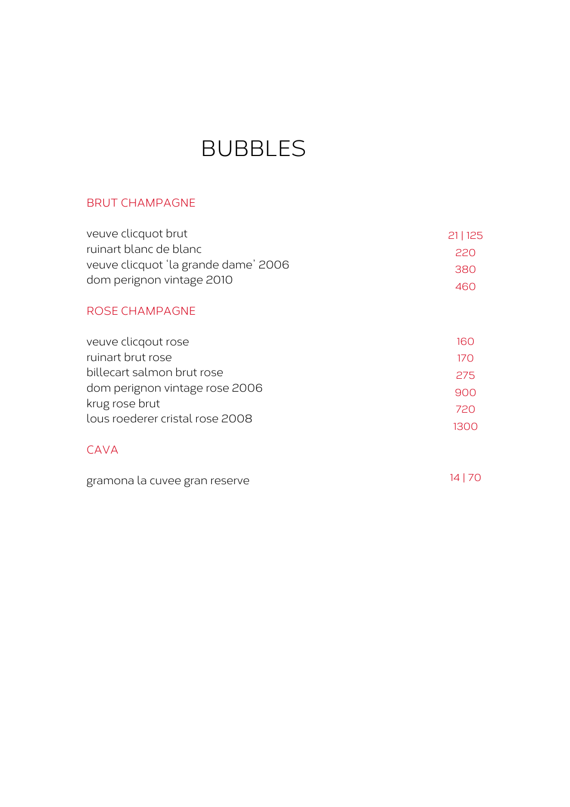## BUBBLES

## BRUT CHAMPAGNE

| veuve clicquot brut                  | 21 125 |
|--------------------------------------|--------|
| ruinart blanc de blanc               | 220    |
| veuve clicquot 'la grande dame' 2006 | 380.   |
| dom perignon vintage 2010            | 460    |

## ROSE CHAMPAGNE

| veuve clicqout rose             | 160   |
|---------------------------------|-------|
| ruinart brut rose               | 17 O  |
| billecart salmon brut rose      | 275   |
| dom perignon vintage rose 2006  | 900   |
| krug rose brut                  | 720   |
| lous roederer cristal rose 2008 | 1300. |
|                                 |       |

## CAVA

| gramona la cuvee gran reserve | 14 70 |
|-------------------------------|-------|
|-------------------------------|-------|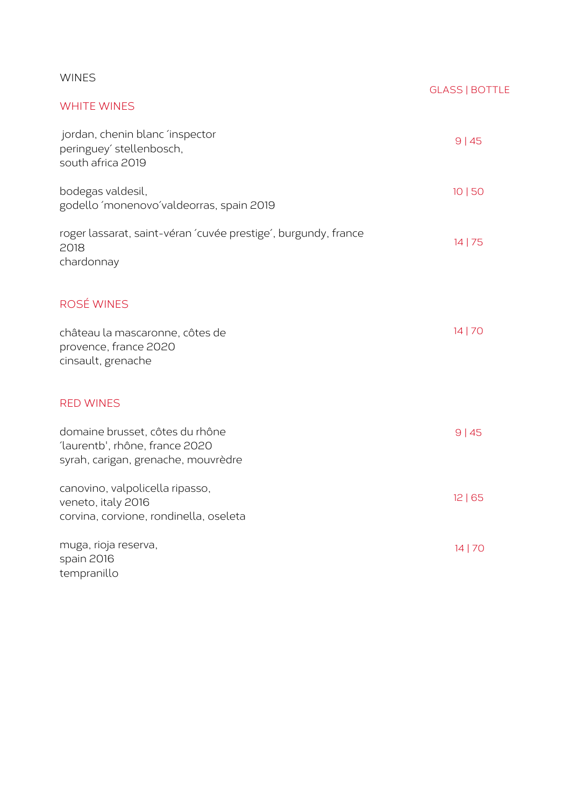| <b>WINES</b>                                                                                             | <b>GLASS   BOTTLE</b> |
|----------------------------------------------------------------------------------------------------------|-----------------------|
| <b>WHITE WINES</b>                                                                                       |                       |
| jordan, chenin blanc 'inspector<br>peringuey' stellenbosch,<br>south africa 2019                         | 9 45                  |
| bodegas valdesil,<br>godello 'monenovo'valdeorras, spain 2019                                            | 10 50                 |
| roger lassarat, saint-véran 'cuvée prestige', burgundy, france<br>2018<br>chardonnay                     | 14 75                 |
| ROSÉ WINES                                                                                               | 14 70                 |
| château la mascaronne, côtes de<br>provence, france 2020<br>cinsault, grenache                           |                       |
| <b>RED WINES</b>                                                                                         |                       |
| domaine brusset, côtes du rhône<br>'laurentb', rhône, france 2020<br>syrah, carigan, grenache, mouvrèdre | 9 45                  |
| canovino, valpolicella ripasso,<br>veneto, italy 2016<br>corvina, corvione, rondinella, oseleta          | 12 65                 |
| muga, rioja reserva,<br>spain 2016<br>tempranillo                                                        | 14 70                 |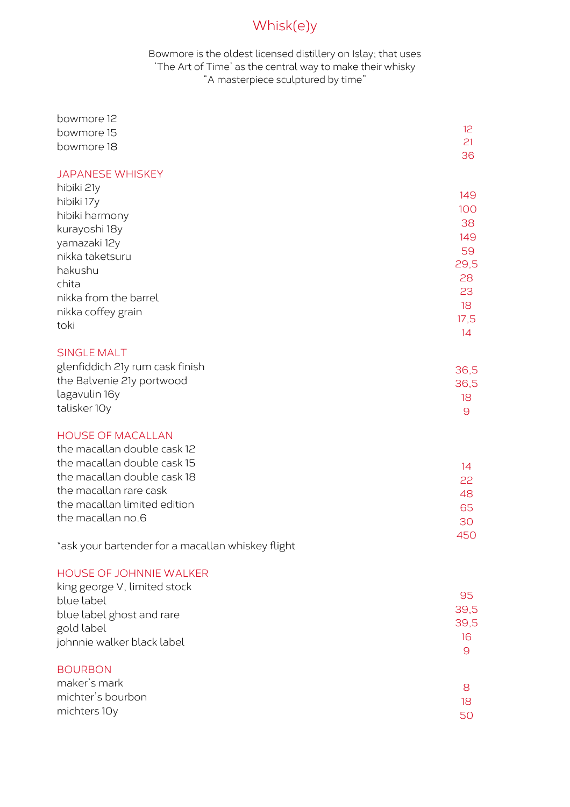## Whisk(e)y

Bowmore is the oldest licensed distillery on Islay; that uses 'The Art of Time' as the central way to make their whisky "A masterpiece sculptured by time"

| bowmore 12                                        |              |
|---------------------------------------------------|--------------|
| bowmore 15                                        | 12           |
| bowmore 18                                        | 21<br>36     |
| <b>JAPANESE WHISKEY</b>                           |              |
| hibiki 21y                                        |              |
| hibiki 17y                                        | 149          |
| hibiki harmony                                    | 100          |
| kurayoshi 18y                                     | 38           |
| yamazaki 12y                                      | 149          |
| nikka taketsuru                                   | 59<br>29,5   |
| hakushu                                           | 28           |
| chita                                             | 23           |
| nikka from the barrel                             | 18           |
| nikka coffey grain                                | 17,5         |
| toki                                              | 14           |
| <b>SINGLE MALT</b>                                |              |
| glenfiddich 21y rum cask finish                   | 36,5         |
| the Balvenie 21y portwood                         | 36,5         |
| lagavulin 16y                                     | 18           |
| talisker 10y                                      | 9            |
| <b>HOUSE OF MACALLAN</b>                          |              |
| the macallan double cask 12                       |              |
| the macallan double cask 15                       | 14           |
| the macallan double cask 18                       | 22           |
| the macallan rare cask                            | 48           |
| the macallan limited edition                      | 65           |
| the macallan no.6                                 | 30           |
|                                                   | 450          |
| *ask your bartender for a macallan whiskey flight |              |
| HOUSE OF JOHNNIE WALKER                           |              |
| king george V, limited stock                      |              |
| blue label                                        | 95           |
| blue label ghost and rare                         | 39,5<br>39,5 |
| gold label                                        | 16           |
| johnnie walker black label                        | 9            |
| <b>BOURBON</b>                                    |              |
| maker's mark                                      | 8            |
| michter's bourbon                                 | 18           |
| michters 10y                                      | 50           |
|                                                   |              |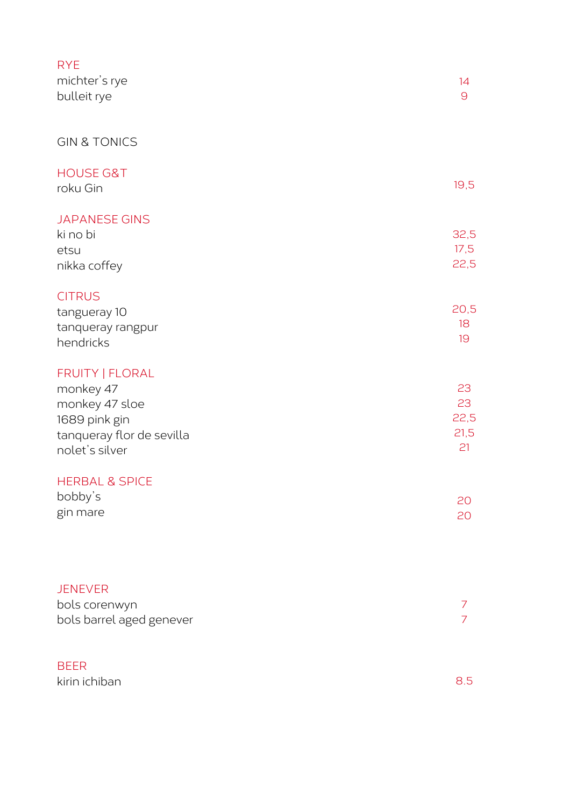| <b>RYE</b><br>michter's rye<br>bulleit rye                                                                     | 14<br>$\Theta$                 |
|----------------------------------------------------------------------------------------------------------------|--------------------------------|
| <b>GIN &amp; TONICS</b>                                                                                        |                                |
| <b>HOUSE G&amp;T</b><br>roku Gin                                                                               | 19,5                           |
| <b>JAPANESE GINS</b><br>ki no bi<br>etsu<br>nikka coffey                                                       | 32,5<br>17,5<br>22,5           |
| <b>CITRUS</b><br>tangueray 10<br>tanqueray rangpur<br>hendricks                                                | 20,5<br>18<br>19               |
| FRUITY   FLORAL<br>monkey 47<br>monkey 47 sloe<br>1689 pink gin<br>tanqueray flor de sevilla<br>nolet's silver | 23<br>23<br>22,5<br>21,5<br>21 |
| <b>HERBAL &amp; SPICE</b><br>bobby's<br>gin mare                                                               | 20<br>20                       |
| <b>JENEVER</b><br>bols corenwyn<br>bols barrel aged genever                                                    | 7<br>$\overline{7}$            |
| <b>BEER</b><br>kirin ichiban                                                                                   | 8.5                            |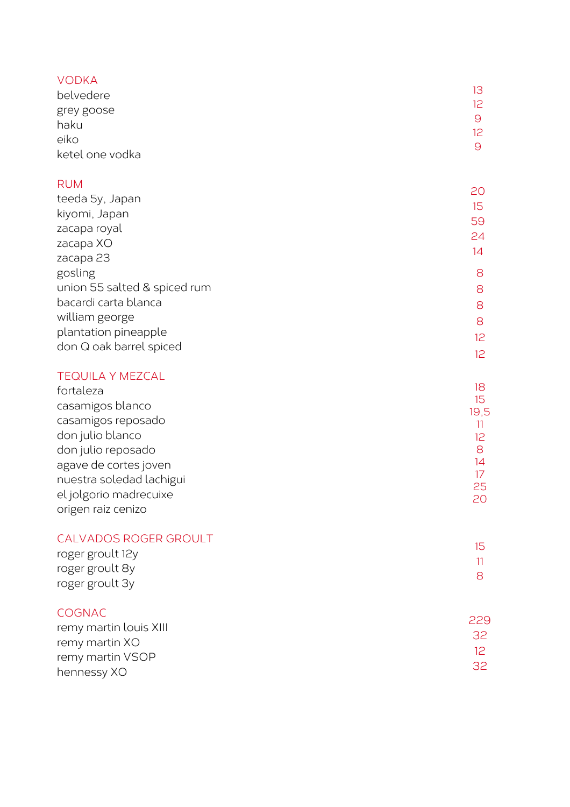## V O D K A

| belvedere          | 13 |
|--------------------|----|
|                    | 12 |
| grey goose<br>haku | 9  |
| eiko               | 12 |
|                    | 9  |
| ketel one vodka    |    |

## R U M

|                              | 20              |
|------------------------------|-----------------|
| teeda 5y, Japan              | 15              |
| kiyomi, Japan                |                 |
| zacapa royal                 | 59              |
| zacapa XO                    | 24              |
|                              | 14              |
| zacapa 23                    |                 |
| gosling                      | 8               |
| union 55 salted & spiced rum | 8               |
| bacardi carta blanca         | 8               |
| william george               | 8               |
| plantation pineapple         | 12 <sup>°</sup> |
| don Q oak barrel spiced      |                 |
|                              | 12.             |

## TEQUILA Y MEZCAL

| fortaleza                                              | 18         |
|--------------------------------------------------------|------------|
| casamigos blanco                                       | 15<br>19,5 |
| casamigos reposado                                     |            |
| don julio blanco                                       | 12         |
| don julio reposado                                     | 8          |
| agave de cortes joven                                  | 14         |
| nuestra soledad lachigui                               |            |
| el jolgorio madrecuixe                                 | 25<br>20   |
| origen raiz cenizo                                     |            |
| <b>CALVADOS ROGER GROULT</b>                           |            |
| roger groult 12y                                       | 15         |
| roger groult 8y                                        |            |
| التاكل بالتاريخ والمتحدث والمستحدث والمنافذة المتحددات | 8          |

## CALVADOS ROGER GRO U L T

| CALVADOS ROOLR OROULI |  |
|-----------------------|--|
| roger groult 12y      |  |
| roger groult 8y       |  |
|                       |  |
| roger groult 3y       |  |

## **COGNAC**

| CUGNAC.                | 229             |
|------------------------|-----------------|
| remy martin louis XIII |                 |
| remy martin XO         | .32 I           |
| remy martin VSOP       | 12 <sup>°</sup> |
| hennessy XO            | .32 I           |